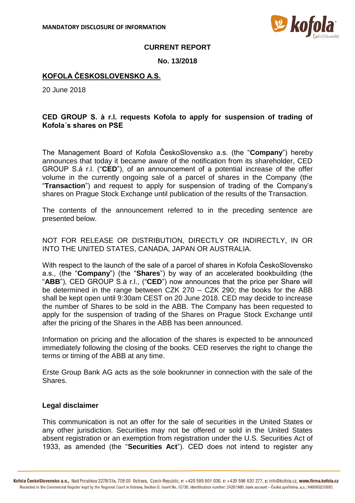

### **CURRENT REPORT**

### **No. 13/2018**

## **KOFOLA ČESKOSLOVENSKO A.S.**

20 June 2018

# **CED GROUP S. à r.l. requests Kofola to apply for suspension of trading of Kofola´s shares on PSE**

The Management Board of Kofola ČeskoSlovensko a.s. (the "**Company**") hereby announces that today it became aware of the notification from its shareholder, CED GROUP S.à r.l. ("**CED**"), of an announcement of a potential increase of the offer volume in the currently ongoing sale of a parcel of shares in the Company (the "**Transaction**") and request to apply for suspension of trading of the Company's shares on Prague Stock Exchange until publication of the results of the Transaction.

The contents of the announcement referred to in the preceding sentence are presented below.

NOT FOR RELEASE OR DISTRIBUTION, DIRECTLY OR INDIRECTLY, IN OR INTO THE UNITED STATES, CANADA, JAPAN OR AUSTRALIA.

With respect to the launch of the sale of a parcel of shares in Kofola ČeskoSlovensko a.s., (the "**Company**") (the "**Shares**") by way of an accelerated bookbuilding (the "ABB"), CED GROUP S.a r.l., ("CED") now announces that the price per Share will be determined in the range between CZK 270 – CZK 290; the books for the ABB shall be kept open until 9:30am CEST on 20 June 2018. CED may decide to increase the number of Shares to be sold in the ABB. The Company has been requested to apply for the suspension of trading of the Shares on Prague Stock Exchange until after the pricing of the Shares in the ABB has been announced.

Information on pricing and the allocation of the shares is expected to be announced immediately following the closing of the books. CED reserves the right to change the terms or timing of the ABB at any time.

Erste Group Bank AG acts as the sole bookrunner in connection with the sale of the Shares.

### **Legal disclaimer**

This communication is not an offer for the sale of securities in the United States or any other jurisdiction. Securities may not be offered or sold in the United States absent registration or an exemption from registration under the U.S. Securities Act of 1933, as amended (the "**Securities Act**"). CED does not intend to register any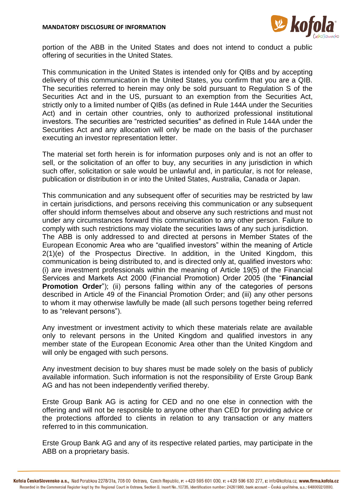

portion of the ABB in the United States and does not intend to conduct a public offering of securities in the United States.

This communication in the United States is intended only for QIBs and by accepting delivery of this communication in the United States, you confirm that you are a QIB. The securities referred to herein may only be sold pursuant to Regulation S of the Securities Act and in the US, pursuant to an exemption from the Securities Act, strictly only to a limited number of QIBs (as defined in Rule 144A under the Securities Act) and in certain other countries, only to authorized professional institutional investors. The securities are "restricted securities" as defined in Rule 144A under the Securities Act and any allocation will only be made on the basis of the purchaser executing an investor representation letter.

The material set forth herein is for information purposes only and is not an offer to sell, or the solicitation of an offer to buy, any securities in any jurisdiction in which such offer, solicitation or sale would be unlawful and, in particular, is not for release, publication or distribution in or into the United States, Australia, Canada or Japan.

This communication and any subsequent offer of securities may be restricted by law in certain jurisdictions, and persons receiving this communication or any subsequent offer should inform themselves about and observe any such restrictions and must not under any circumstances forward this communication to any other person. Failure to comply with such restrictions may violate the securities laws of any such jurisdiction. The ABB is only addressed to and directed at persons in Member States of the European Economic Area who are "qualified investors" within the meaning of Article 2(1)(e) of the Prospectus Directive. In addition, in the United Kingdom, this communication is being distributed to, and is directed only at, qualified investors who: (i) are investment professionals within the meaning of Article 19(5) of the Financial Services and Markets Act 2000 (Financial Promotion) Order 2005 (the "**Financial Promotion Order**"); (ii) persons falling within any of the categories of persons described in Article 49 of the Financial Promotion Order; and (iii) any other persons to whom it may otherwise lawfully be made (all such persons together being referred to as "relevant persons").

Any investment or investment activity to which these materials relate are available only to relevant persons in the United Kingdom and qualified investors in any member state of the European Economic Area other than the United Kingdom and will only be engaged with such persons.

Any investment decision to buy shares must be made solely on the basis of publicly available information. Such information is not the responsibility of Erste Group Bank AG and has not been independently verified thereby.

Erste Group Bank AG is acting for CED and no one else in connection with the offering and will not be responsible to anyone other than CED for providing advice or the protections afforded to clients in relation to any transaction or any matters referred to in this communication.

Erste Group Bank AG and any of its respective related parties, may participate in the ABB on a proprietary basis.